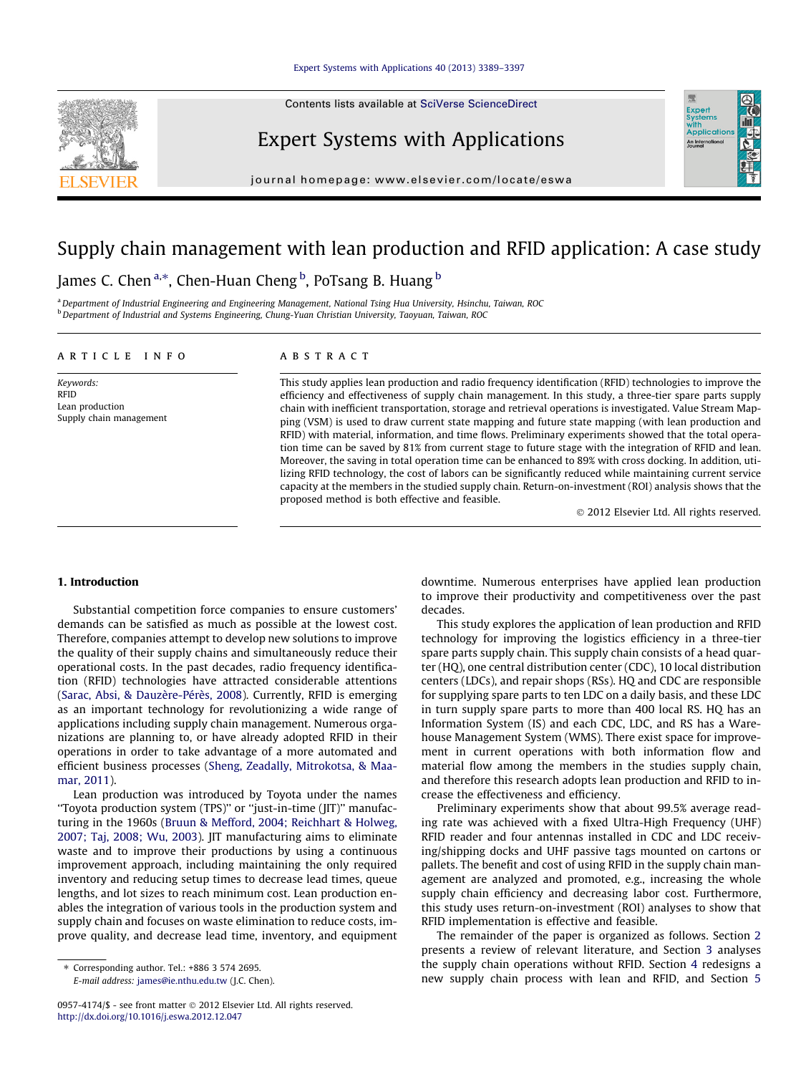Contents lists available at [SciVerse ScienceDirect](http://www.sciencedirect.com/science/journal/09574174)



# Expert Systems with Applications

journal homepage: [www.elsevier.com/locate/eswa](http://www.elsevier.com/locate/eswa)

## Supply chain management with lean production and RFID application: A case study

### James C. Chen<sup>a,</sup>\*, Chen-Huan Cheng <sup>b</sup>, PoTsang B. Huang <sup>b</sup>

aDepartment of Industrial Engineering and Engineering Management, National Tsing Hua University, Hsinchu, Taiwan, ROC <sup>b</sup> Department of Industrial and Systems Engineering, Chung-Yuan Christian University, Taoyuan, Taiwan, ROC

#### article info

Keywords: RFID Lean production Supply chain management

#### **ABSTRACT**

This study applies lean production and radio frequency identification (RFID) technologies to improve the efficiency and effectiveness of supply chain management. In this study, a three-tier spare parts supply chain with inefficient transportation, storage and retrieval operations is investigated. Value Stream Mapping (VSM) is used to draw current state mapping and future state mapping (with lean production and RFID) with material, information, and time flows. Preliminary experiments showed that the total operation time can be saved by 81% from current stage to future stage with the integration of RFID and lean. Moreover, the saving in total operation time can be enhanced to 89% with cross docking. In addition, utilizing RFID technology, the cost of labors can be significantly reduced while maintaining current service capacity at the members in the studied supply chain. Return-on-investment (ROI) analysis shows that the proposed method is both effective and feasible.

- 2012 Elsevier Ltd. All rights reserved.

Expert<br>Syster Applicatio An Interna

#### 1. Introduction

Substantial competition force companies to ensure customers' demands can be satisfied as much as possible at the lowest cost. Therefore, companies attempt to develop new solutions to improve the quality of their supply chains and simultaneously reduce their operational costs. In the past decades, radio frequency identification (RFID) technologies have attracted considerable attentions ([Sarac, Absi, & Dauzère-Pérès, 2008](#page--1-0)). Currently, RFID is emerging as an important technology for revolutionizing a wide range of applications including supply chain management. Numerous organizations are planning to, or have already adopted RFID in their operations in order to take advantage of a more automated and efficient business processes [\(Sheng, Zeadally, Mitrokotsa, & Maa](#page--1-0)[mar, 2011](#page--1-0)).

Lean production was introduced by Toyota under the names ''Toyota production system (TPS)'' or ''just-in-time (JIT)'' manufacturing in the 1960s [\(Bruun & Mefford, 2004; Reichhart & Holweg,](#page--1-0) [2007; Taj, 2008; Wu, 2003](#page--1-0)). JIT manufacturing aims to eliminate waste and to improve their productions by using a continuous improvement approach, including maintaining the only required inventory and reducing setup times to decrease lead times, queue lengths, and lot sizes to reach minimum cost. Lean production enables the integration of various tools in the production system and supply chain and focuses on waste elimination to reduce costs, improve quality, and decrease lead time, inventory, and equipment downtime. Numerous enterprises have applied lean production to improve their productivity and competitiveness over the past decades.

This study explores the application of lean production and RFID technology for improving the logistics efficiency in a three-tier spare parts supply chain. This supply chain consists of a head quarter (HQ), one central distribution center (CDC), 10 local distribution centers (LDCs), and repair shops (RSs). HQ and CDC are responsible for supplying spare parts to ten LDC on a daily basis, and these LDC in turn supply spare parts to more than 400 local RS. HQ has an Information System (IS) and each CDC, LDC, and RS has a Warehouse Management System (WMS). There exist space for improvement in current operations with both information flow and material flow among the members in the studies supply chain, and therefore this research adopts lean production and RFID to increase the effectiveness and efficiency.

Preliminary experiments show that about 99.5% average reading rate was achieved with a fixed Ultra-High Frequency (UHF) RFID reader and four antennas installed in CDC and LDC receiving/shipping docks and UHF passive tags mounted on cartons or pallets. The benefit and cost of using RFID in the supply chain management are analyzed and promoted, e.g., increasing the whole supply chain efficiency and decreasing labor cost. Furthermore, this study uses return-on-investment (ROI) analyses to show that RFID implementation is effective and feasible.

The remainder of the paper is organized as follows. Section [2](#page-1-0) presents a review of relevant literature, and Section [3](#page--1-0) analyses the supply chain operations without RFID. Section [4](#page--1-0) redesigns a new supply chain process with lean and RFID, and Section [5](#page--1-0)

<sup>⇑</sup> Corresponding author. Tel.: +886 3 574 2695. E-mail address: [james@ie.nthu.edu.tw](mailto:james@ie.nthu.edu.tw) (J.C. Chen).

<sup>0957-4174/\$ -</sup> see front matter © 2012 Elsevier Ltd. All rights reserved. <http://dx.doi.org/10.1016/j.eswa.2012.12.047>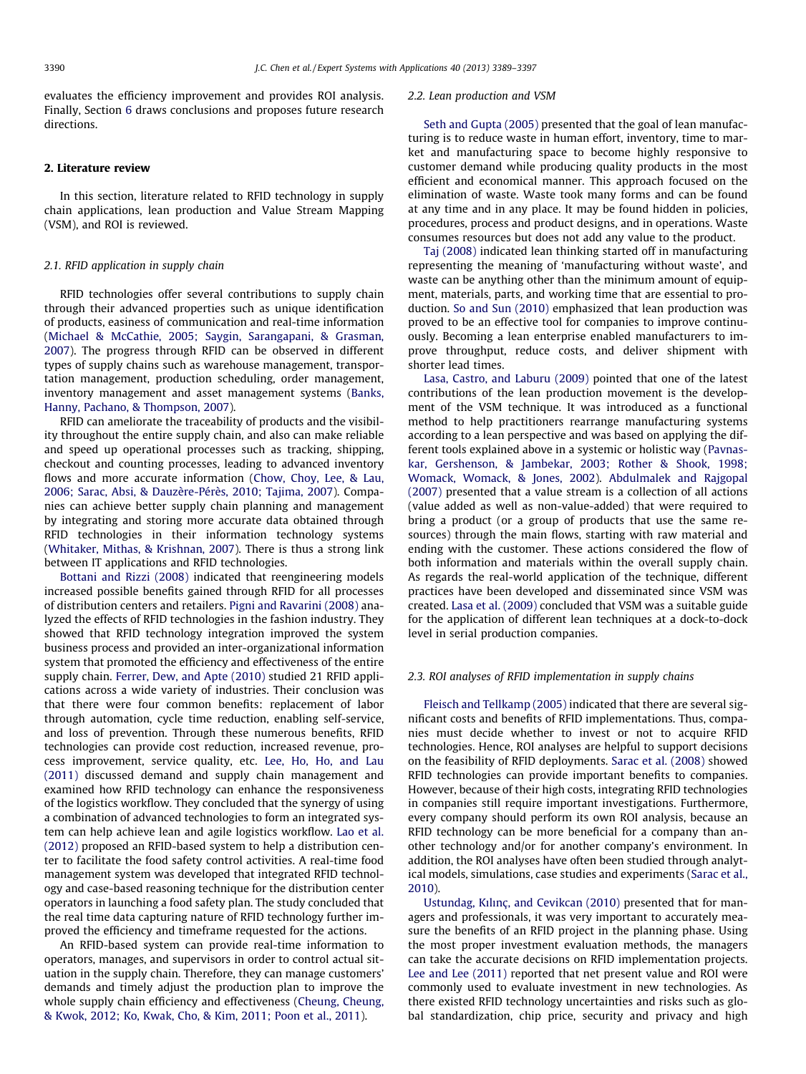<span id="page-1-0"></span>evaluates the efficiency improvement and provides ROI analysis. Finally, Section [6](#page--1-0) draws conclusions and proposes future research directions.

#### 2. Literature review

In this section, literature related to RFID technology in supply chain applications, lean production and Value Stream Mapping (VSM), and ROI is reviewed.

#### 2.1. RFID application in supply chain

RFID technologies offer several contributions to supply chain through their advanced properties such as unique identification of products, easiness of communication and real-time information ([Michael & McCathie, 2005; Saygin, Sarangapani, & Grasman,](#page--1-0) [2007\)](#page--1-0). The progress through RFID can be observed in different types of supply chains such as warehouse management, transportation management, production scheduling, order management, inventory management and asset management systems ([Banks,](#page--1-0) [Hanny, Pachano, & Thompson, 2007\)](#page--1-0).

RFID can ameliorate the traceability of products and the visibility throughout the entire supply chain, and also can make reliable and speed up operational processes such as tracking, shipping, checkout and counting processes, leading to advanced inventory flows and more accurate information ([Chow, Choy, Lee, & Lau,](#page--1-0) [2006; Sarac, Absi, & Dauzère-Pérès, 2010; Tajima, 2007](#page--1-0)). Companies can achieve better supply chain planning and management by integrating and storing more accurate data obtained through RFID technologies in their information technology systems ([Whitaker, Mithas, & Krishnan, 2007](#page--1-0)). There is thus a strong link between IT applications and RFID technologies.

[Bottani and Rizzi \(2008\)](#page--1-0) indicated that reengineering models increased possible benefits gained through RFID for all processes of distribution centers and retailers. [Pigni and Ravarini \(2008\)](#page--1-0) analyzed the effects of RFID technologies in the fashion industry. They showed that RFID technology integration improved the system business process and provided an inter-organizational information system that promoted the efficiency and effectiveness of the entire supply chain. [Ferrer, Dew, and Apte \(2010\)](#page--1-0) studied 21 RFID applications across a wide variety of industries. Their conclusion was that there were four common benefits: replacement of labor through automation, cycle time reduction, enabling self-service, and loss of prevention. Through these numerous benefits, RFID technologies can provide cost reduction, increased revenue, process improvement, service quality, etc. [Lee, Ho, Ho, and Lau](#page--1-0) [\(2011\)](#page--1-0) discussed demand and supply chain management and examined how RFID technology can enhance the responsiveness of the logistics workflow. They concluded that the synergy of using a combination of advanced technologies to form an integrated system can help achieve lean and agile logistics workflow. [Lao et al.](#page--1-0) [\(2012\)](#page--1-0) proposed an RFID-based system to help a distribution center to facilitate the food safety control activities. A real-time food management system was developed that integrated RFID technology and case-based reasoning technique for the distribution center operators in launching a food safety plan. The study concluded that the real time data capturing nature of RFID technology further improved the efficiency and timeframe requested for the actions.

An RFID-based system can provide real-time information to operators, manages, and supervisors in order to control actual situation in the supply chain. Therefore, they can manage customers' demands and timely adjust the production plan to improve the whole supply chain efficiency and effectiveness [\(Cheung, Cheung,](#page--1-0) [& Kwok, 2012; Ko, Kwak, Cho, & Kim, 2011; Poon et al., 2011\)](#page--1-0).

#### 2.2. Lean production and VSM

[Seth and Gupta \(2005\)](#page--1-0) presented that the goal of lean manufacturing is to reduce waste in human effort, inventory, time to market and manufacturing space to become highly responsive to customer demand while producing quality products in the most efficient and economical manner. This approach focused on the elimination of waste. Waste took many forms and can be found at any time and in any place. It may be found hidden in policies, procedures, process and product designs, and in operations. Waste consumes resources but does not add any value to the product.

[Taj \(2008\)](#page--1-0) indicated lean thinking started off in manufacturing representing the meaning of 'manufacturing without waste', and waste can be anything other than the minimum amount of equipment, materials, parts, and working time that are essential to production. [So and Sun \(2010\)](#page--1-0) emphasized that lean production was proved to be an effective tool for companies to improve continuously. Becoming a lean enterprise enabled manufacturers to improve throughput, reduce costs, and deliver shipment with shorter lead times.

[Lasa, Castro, and Laburu \(2009\)](#page--1-0) pointed that one of the latest contributions of the lean production movement is the development of the VSM technique. It was introduced as a functional method to help practitioners rearrange manufacturing systems according to a lean perspective and was based on applying the different tools explained above in a systemic or holistic way [\(Pavnas](#page--1-0)[kar, Gershenson, & Jambekar, 2003; Rother & Shook, 1998;](#page--1-0) [Womack, Womack, & Jones, 2002\)](#page--1-0). [Abdulmalek and Rajgopal](#page--1-0) [\(2007\)](#page--1-0) presented that a value stream is a collection of all actions (value added as well as non-value-added) that were required to bring a product (or a group of products that use the same resources) through the main flows, starting with raw material and ending with the customer. These actions considered the flow of both information and materials within the overall supply chain. As regards the real-world application of the technique, different practices have been developed and disseminated since VSM was created. [Lasa et al. \(2009\)](#page--1-0) concluded that VSM was a suitable guide for the application of different lean techniques at a dock-to-dock level in serial production companies.

#### 2.3. ROI analyses of RFID implementation in supply chains

[Fleisch and Tellkamp \(2005\)](#page--1-0) indicated that there are several significant costs and benefits of RFID implementations. Thus, companies must decide whether to invest or not to acquire RFID technologies. Hence, ROI analyses are helpful to support decisions on the feasibility of RFID deployments. [Sarac et al. \(2008\)](#page--1-0) showed RFID technologies can provide important benefits to companies. However, because of their high costs, integrating RFID technologies in companies still require important investigations. Furthermore, every company should perform its own ROI analysis, because an RFID technology can be more beneficial for a company than another technology and/or for another company's environment. In addition, the ROI analyses have often been studied through analytical models, simulations, case studies and experiments ([Sarac et al.,](#page--1-0) [2010\)](#page--1-0).

[Ustundag, K](#page--1-0)ı[l](#page--1-0)ı[nç, and Cevikcan \(2010\)](#page--1-0) presented that for managers and professionals, it was very important to accurately measure the benefits of an RFID project in the planning phase. Using the most proper investment evaluation methods, the managers can take the accurate decisions on RFID implementation projects. [Lee and Lee \(2011\)](#page--1-0) reported that net present value and ROI were commonly used to evaluate investment in new technologies. As there existed RFID technology uncertainties and risks such as global standardization, chip price, security and privacy and high